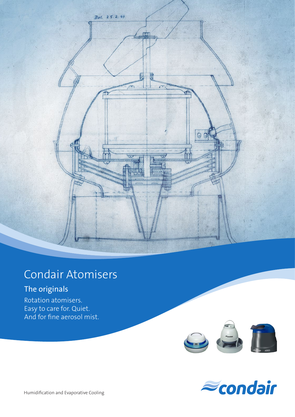

## Condair Atomisers

## The originals

Rotation atomisers. Easy to care for. Quiet. And for fine aerosol mist.



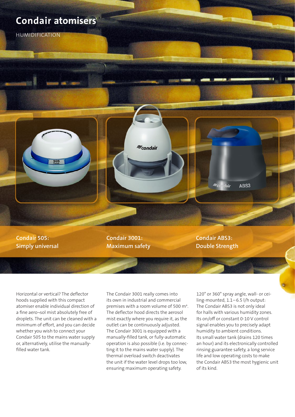### **Condair atomisers**

HUMIDIFICATION



**Condair 3001: Maximum safety** **Condair ABS3: Double Strength**

Horizontal or vertical? The deflector hoods supplied with this compact atomiser enable individual direction of a fine aero¬sol mist absolutely free of droplets. The unit can be cleaned with a minimum of effort, and you can decide whether you wish to connect your Condair 505 to the mains water supply or, alternatively, utilise the manuallyfilled water tank.

The Condair 3001 really comes into its own in industrial and commercial premises with a room volume of 500 m<sup>3</sup>. The deflector hood directs the aerosol mist exactly where you require it, as the outlet can be continuously adjusted. The Condair 3001 is equipped with a manually-filled tank, or fully-automatic operation is also possible (i.e. by connecting it to the mains water supply). The thermal overload switch deactivates the unit if the water level drops too low, ensuring maximum operating safety.

 $\approx$ condair

120° or 360° spray angle, wall- or ceiling-mounted, 1.1-6.5 l/h output: The Condair ABS3 is not only ideal for halls with various humidity zones. Its on/off or constant 0-10 V control signal enables you to precisely adapt humidity to ambient conditions. Its small water tank (drains 120 times an hour) and its electronically controlled rinsing guarantee safety, a long service life and low operating costs to make the Condair ABS3 the most hygienic unit of its kind.

ABS3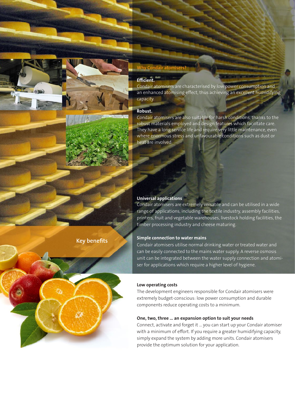

**Key benefits**

#### **Why Condair atomisers?**

#### **Efficient.**

Condair atomisers are characterised by low power consumption and an enhanced atomising effect, thus achieving an excellent humidifying capacity.

#### **Robust.**

Condair atomisers are also suitable for harsh conditions, thanks to the robust materials employed and design features which facilitate care. They have a long service life and require very little maintenance, even where enormous stress and unfavourable conditions such as dust or heat are involved.

#### **Universal applications**

Condair atomisers are extremely versatile and can be utilised in a wide range of applications, including the textile industry, assembly facilities, printers, fruit and vegetable warehouses, livestock holding facilities, the timber processing industry and cheese maturing.

#### **Simple connection to water mains**

Condair atomisers utilise normal drinking water or treated water and can be easily connected to the mains water supply. A reverse osmosis unit can be integrated between the water supply connection and atomiser for applications which require a higher level of hygiene.

#### **Low operating costs**

The development engineers responsible for Condair atomisers were extremely budget-conscious: low power consumption and durable components reduce operating costs to a minimum.

#### **One, two, three … an expansion option to suit your needs**

Connect, activate and forget it … you can start up your Condair atomiser with a minimum of effort. If you require a greater humidifying capacity, simply expand the system by adding more units. Condair atomisers provide the optimum solution for your application.